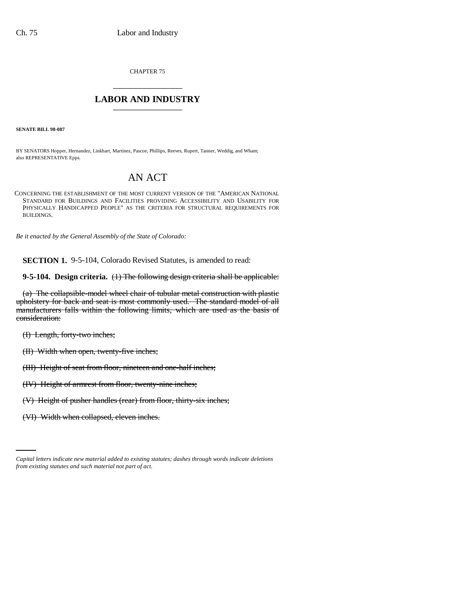CHAPTER 75 \_\_\_\_\_\_\_\_\_\_\_\_\_\_\_

## **LABOR AND INDUSTRY** \_\_\_\_\_\_\_\_\_\_\_\_\_\_\_

**SENATE BILL 98-087**

BY SENATORS Hopper, Hernandez, Linkhart, Martinez, Pascoe, Phillips, Reeves, Rupert, Tanner, Weddig, and Wham; also REPRESENTATIVE Epps.

## AN ACT

CONCERNING THE ESTABLISHMENT OF THE MOST CURRENT VERSION OF THE "AMERICAN NATIONAL STANDARD FOR BUILDINGS AND FACILITIES PROVIDING ACCESSIBILITY AND USABILITY FOR PHYSICALLY HANDICAPPED PEOPLE" AS THE CRITERIA FOR STRUCTURAL REQUIREMENTS FOR BUILDINGS.

*Be it enacted by the General Assembly of the State of Colorado:*

**SECTION 1.** 9-5-104, Colorado Revised Statutes, is amended to read:

**9-5-104. Design criteria.** (1) The following design criteria shall be applicable:

(a) The collapsible-model wheel chair of tubular metal construction with plastic upholstery for back and seat is most commonly used. The standard model of all manufacturers falls within the following limits, which are used as the basis of consideration:

(I) Length, forty-two inches;

(II) Width when open, twenty-five inches;

(III) Height of seat from floor, nineteen and one-half inches;

(IV) Height of armrest from floor, twenty-nine inches;

(V) Height of pusher handles (rear) from floor, thirty-six inches;

(VI) Width when collapsed, eleven inches.

*Capital letters indicate new material added to existing statutes; dashes through words indicate deletions from existing statutes and such material not part of act.*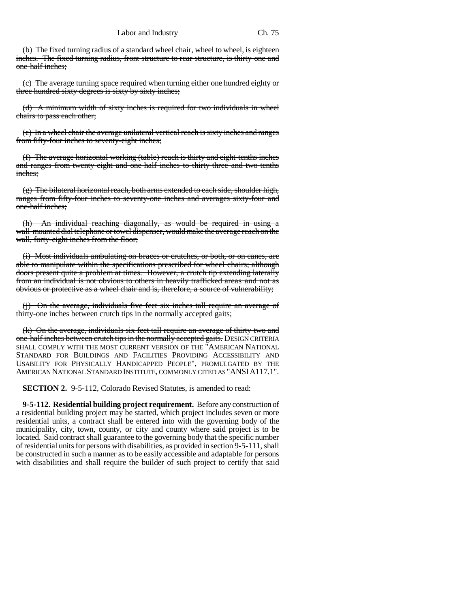(b) The fixed turning radius of a standard wheel chair, wheel to wheel, is eighteen inches. The fixed turning radius, front structure to rear structure, is thirty-one and one-half inches;

(c) The average turning space required when turning either one hundred eighty or three hundred sixty degrees is sixty by sixty inches;

(d) A minimum width of sixty inches is required for two individuals in wheel chairs to pass each other;

(e) In a wheel chair the average unilateral vertical reach is sixty inches and ranges from fifty-four inches to seventy-eight inches;

(f) The average horizontal working (table) reach is thirty and eight-tenths inches and ranges from twenty-eight and one-half inches to thirty-three and two-tenths inches;

(g) The bilateral horizontal reach, both arms extended to each side, shoulder high, ranges from fifty-four inches to seventy-one inches and averages sixty-four and one-half inches;

(h) An individual reaching diagonally, as would be required in using a wall-mounted dial telephone or towel dispenser, would make the average reach on the wall, forty-eight inches from the floor;

(i) Most individuals ambulating on braces or crutches, or both, or on canes, are able to manipulate within the specifications prescribed for wheel chairs; although doors present quite a problem at times. However, a crutch tip extending laterally from an individual is not obvious to others in heavily trafficked areas and not as obvious or protective as a wheel chair and is, therefore, a source of vulnerability;

(j) On the average, individuals five feet six inches tall require an average of thirty-one inches between crutch tips in the normally accepted gaits;

(k) On the average, individuals six feet tall require an average of thirty-two and one-half inches between crutch tips in the normally accepted gaits. DESIGN CRITERIA SHALL COMPLY WITH THE MOST CURRENT VERSION OF THE "AMERICAN NATIONAL STANDARD FOR BUILDINGS AND FACILITIES PROVIDING ACCESSIBILITY AND USABILITY FOR PHYSICALLY HANDICAPPED PEOPLE", PROMULGATED BY THE AMERICAN NATIONAL STANDARD INSTITUTE, COMMONLY CITED AS "ANSIA117.1".

**SECTION 2.** 9-5-112, Colorado Revised Statutes, is amended to read:

**9-5-112. Residential building project requirement.** Before any construction of a residential building project may be started, which project includes seven or more residential units, a contract shall be entered into with the governing body of the municipality, city, town, county, or city and county where said project is to be located. Said contract shall guarantee to the governing body that the specific number of residential units for persons with disabilities, as provided in section 9-5-111, shall be constructed in such a manner as to be easily accessible and adaptable for persons with disabilities and shall require the builder of such project to certify that said